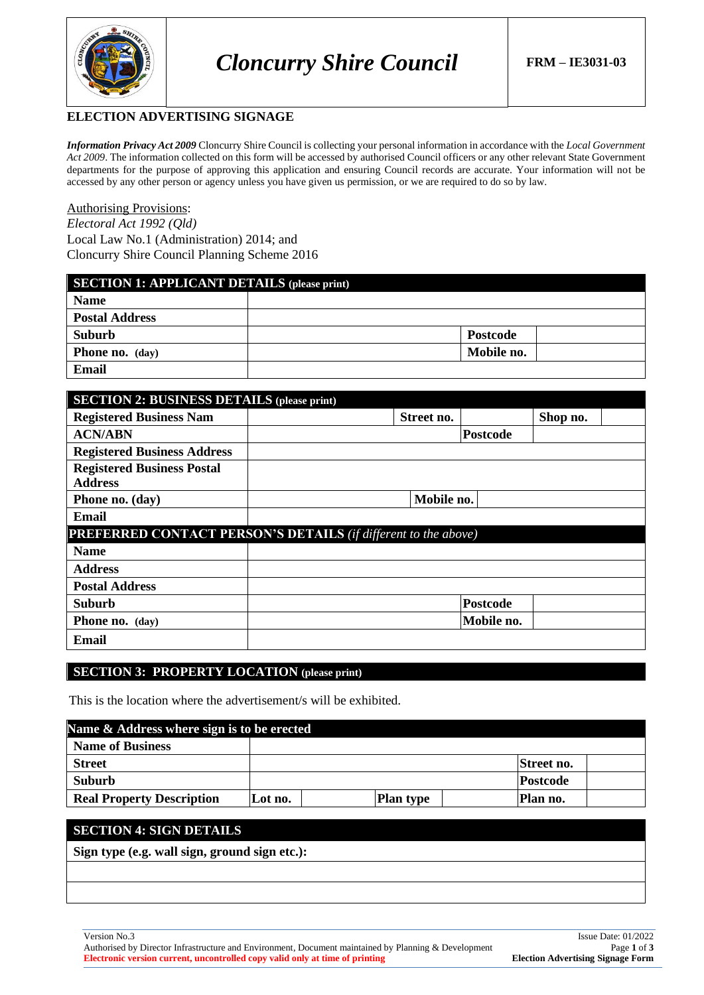

### **ELECTION ADVERTISING SIGNAGE**

*Information Privacy Act 2009* Cloncurry Shire Council is collecting your personal information in accordance with the *Local Government Act 2009*. The information collected on this form will be accessed by authorised Council officers or any other relevant State Government departments for the purpose of approving this application and ensuring Council records are accurate. Your information will not be accessed by any other person or agency unless you have given us permission, or we are required to do so by law.

### Authorising Provisions:

*Electoral Act 1992 (Qld)* Local Law No.1 (Administration) 2014; and Cloncurry Shire Council Planning Scheme 2016

| <b>SECTION 1: APPLICANT DETAILS (please print)</b> |                 |  |  |
|----------------------------------------------------|-----------------|--|--|
| <b>Name</b>                                        |                 |  |  |
| <b>Postal Address</b>                              |                 |  |  |
| <b>Suburb</b>                                      | <b>Postcode</b> |  |  |
| <b>Phone no.</b> (day)                             | Mobile no.      |  |  |
| Email                                              |                 |  |  |

| <b>SECTION 2: BUSINESS DETAILS (please print)</b>                     |            |                 |          |  |
|-----------------------------------------------------------------------|------------|-----------------|----------|--|
| <b>Registered Business Nam</b>                                        | Street no. |                 | Shop no. |  |
| <b>ACN/ABN</b>                                                        |            | <b>Postcode</b> |          |  |
| <b>Registered Business Address</b>                                    |            |                 |          |  |
| <b>Registered Business Postal</b><br><b>Address</b>                   |            |                 |          |  |
| Phone no. (day)                                                       | Mobile no. |                 |          |  |
| Email                                                                 |            |                 |          |  |
| <b>PREFERRED CONTACT PERSON'S DETAILS (if different to the above)</b> |            |                 |          |  |
| <b>Name</b>                                                           |            |                 |          |  |
| <b>Address</b>                                                        |            |                 |          |  |
| <b>Postal Address</b>                                                 |            |                 |          |  |
| <b>Suburb</b>                                                         |            | Postcode        |          |  |
| Phone no. (day)                                                       |            | Mobile no.      |          |  |
| Email                                                                 |            |                 |          |  |

#### **SECTION 3: PROPERTY LOCATION** (please print)

This is the location where the advertisement/s will be exhibited.

| Name & Address where sign is to be erected |         |  |                  |  |                 |  |
|--------------------------------------------|---------|--|------------------|--|-----------------|--|
| <b>Name of Business</b>                    |         |  |                  |  |                 |  |
| <b>Street</b>                              |         |  |                  |  | Street no.      |  |
| <b>Suburb</b>                              |         |  |                  |  | <b>Postcode</b> |  |
| <b>Real Property Description</b>           | Lot no. |  | <b>Plan type</b> |  | Plan no.        |  |

### **SECTION 4: SIGN DETAILS**

**Sign type (e.g. wall sign, ground sign etc.):**

Authorised by Director Infrastructure and Environment, Document maintained by Planning & Development Page **1** of **3 Electronic version current, uncontrolled copy valid only at time of printing Election Advertising Signage Form**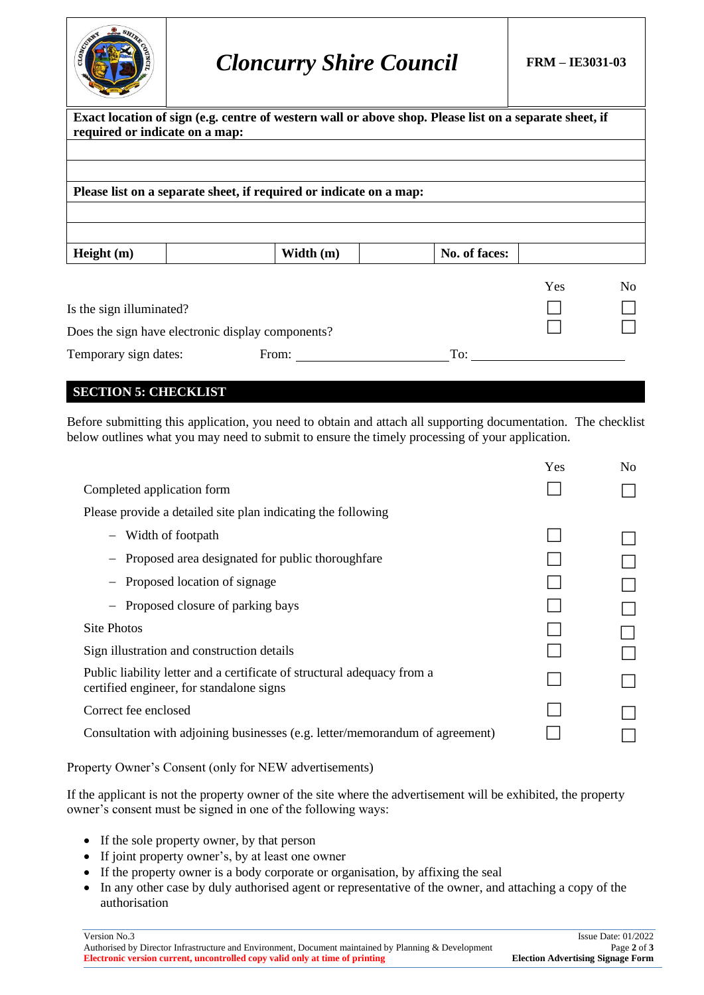

# *Cloncurry Shire Council* **FRM – IE3031-03**

| required or indicate on a map:                    | Exact location of sign (e.g. centre of western wall or above shop. Please list on a separate sheet, if |               |            |                |
|---------------------------------------------------|--------------------------------------------------------------------------------------------------------|---------------|------------|----------------|
|                                                   |                                                                                                        |               |            |                |
|                                                   |                                                                                                        |               |            |                |
|                                                   | Please list on a separate sheet, if required or indicate on a map:                                     |               |            |                |
|                                                   |                                                                                                        |               |            |                |
|                                                   |                                                                                                        |               |            |                |
| Height $(m)$                                      | Width $(m)$                                                                                            | No. of faces: |            |                |
|                                                   |                                                                                                        |               | <b>Yes</b> | N <sub>0</sub> |
| Is the sign illuminated?                          |                                                                                                        |               |            |                |
| Does the sign have electronic display components? |                                                                                                        |               |            |                |
| Temporary sign dates:                             | From:                                                                                                  | To:           |            |                |

# **SECTION 5: CHECKLIST**

Before submitting this application, you need to obtain and attach all supporting documentation. The checklist below outlines what you may need to submit to ensure the timely processing of your application.

|                                                                                                                     | Yes | N <sub>0</sub> |
|---------------------------------------------------------------------------------------------------------------------|-----|----------------|
| Completed application form                                                                                          |     |                |
| Please provide a detailed site plan indicating the following                                                        |     |                |
| - Width of footpath                                                                                                 |     |                |
| Proposed area designated for public thorough fare                                                                   |     |                |
| Proposed location of signage                                                                                        |     |                |
| Proposed closure of parking bays                                                                                    |     |                |
| Site Photos                                                                                                         |     |                |
| Sign illustration and construction details                                                                          |     |                |
| Public liability letter and a certificate of structural adequacy from a<br>certified engineer, for standalone signs |     |                |
| Correct fee enclosed                                                                                                |     |                |
| Consultation with adjoining businesses (e.g. letter/memorandum of agreement)                                        |     |                |
|                                                                                                                     |     |                |

Property Owner's Consent (only for NEW advertisements)

If the applicant is not the property owner of the site where the advertisement will be exhibited, the property owner's consent must be signed in one of the following ways:

- If the sole property owner, by that person
- If joint property owner's, by at least one owner
- If the property owner is a body corporate or organisation, by affixing the seal
- In any other case by duly authorised agent or representative of the owner, and attaching a copy of the authorisation